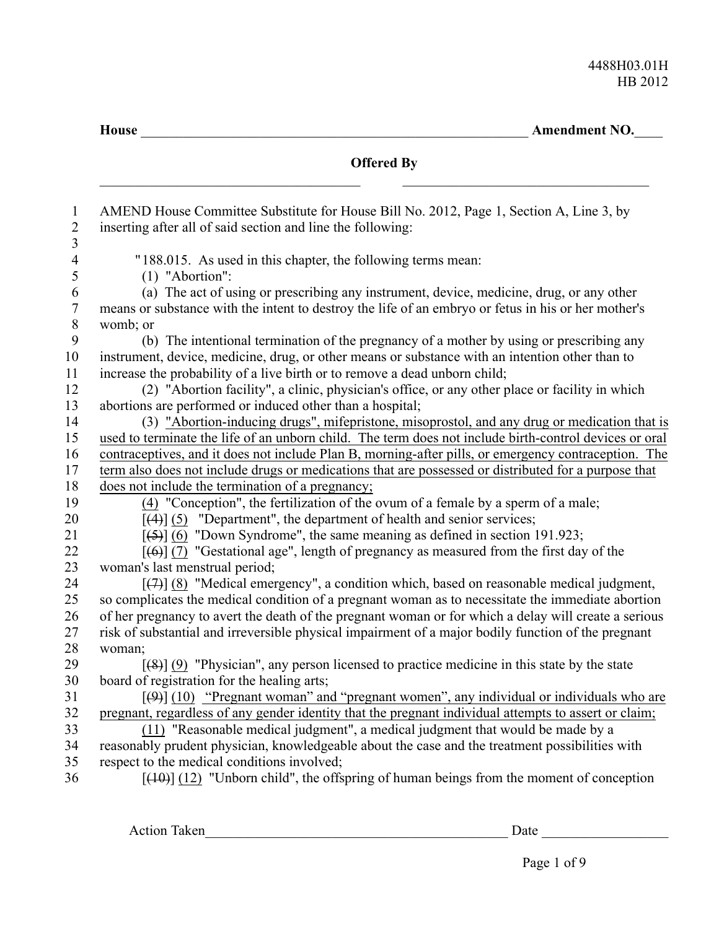**House** \_\_\_\_\_\_\_\_\_\_\_\_\_\_\_\_\_\_\_\_\_\_\_\_\_\_\_\_\_\_\_\_\_\_\_\_\_\_\_\_\_\_\_\_\_\_\_\_\_\_\_\_\_\_\_ **Amendment NO.**\_\_\_\_

| AMEND House Committee Substitute for House Bill No. 2012, Page 1, Section A, Line 3, by<br>inserting after all of said section and line the following:                                                    |
|-----------------------------------------------------------------------------------------------------------------------------------------------------------------------------------------------------------|
| "188.015. As used in this chapter, the following terms mean:                                                                                                                                              |
| (1) "Abortion":<br>(a) The act of using or prescribing any instrument, device, medicine, drug, or any other                                                                                               |
| means or substance with the intent to destroy the life of an embryo or fetus in his or her mother's                                                                                                       |
| womb; or                                                                                                                                                                                                  |
| (b) The intentional termination of the pregnancy of a mother by using or prescribing any                                                                                                                  |
| instrument, device, medicine, drug, or other means or substance with an intention other than to                                                                                                           |
| increase the probability of a live birth or to remove a dead unborn child;                                                                                                                                |
| (2) "Abortion facility", a clinic, physician's office, or any other place or facility in which                                                                                                            |
| abortions are performed or induced other than a hospital;                                                                                                                                                 |
| (3) "Abortion-inducing drugs", mifepristone, misoprostol, and any drug or medication that is                                                                                                              |
| used to terminate the life of an unborn child. The term does not include birth-control devices or oral                                                                                                    |
| contraceptives, and it does not include Plan B, morning-after pills, or emergency contraception. The                                                                                                      |
| term also does not include drugs or medications that are possessed or distributed for a purpose that                                                                                                      |
| does not include the termination of a pregnancy;                                                                                                                                                          |
| $(4)$ "Conception", the fertilization of the ovum of a female by a sperm of a male;                                                                                                                       |
| $[(4)]$ (5) "Department", the department of health and senior services;                                                                                                                                   |
| $[56]$ (6) "Down Syndrome", the same meaning as defined in section 191.923;                                                                                                                               |
| $[ (6) ] (7)$ "Gestational age", length of pregnancy as measured from the first day of the                                                                                                                |
| woman's last menstrual period;                                                                                                                                                                            |
| $[$ (4)] (8) "Medical emergency", a condition which, based on reasonable medical judgment,                                                                                                                |
| so complicates the medical condition of a pregnant woman as to necessitate the immediate abortion<br>of her pregnancy to avert the death of the pregnant woman or for which a delay will create a serious |
| risk of substantial and irreversible physical impairment of a major bodily function of the pregnant                                                                                                       |
| woman;                                                                                                                                                                                                    |
| $[48]$ (9) "Physician", any person licensed to practice medicine in this state by the state                                                                                                               |
| board of registration for the healing arts;                                                                                                                                                               |
| $[49]$ (10) "Pregnant woman" and "pregnant women", any individual or individuals who are                                                                                                                  |
| pregnant, regardless of any gender identity that the pregnant individual attempts to assert or claim;                                                                                                     |
| (11) "Reasonable medical judgment", a medical judgment that would be made by a                                                                                                                            |
| reasonably prudent physician, knowledgeable about the case and the treatment possibilities with                                                                                                           |
| respect to the medical conditions involved;                                                                                                                                                               |
| $[440]$ (12) "Unborn child", the offspring of human beings from the moment of conception                                                                                                                  |

Action Taken\_\_\_\_\_\_\_\_\_\_\_\_\_\_\_\_\_\_\_\_\_\_\_\_\_\_\_\_\_\_\_\_\_\_\_\_\_\_\_\_\_\_\_ Date \_\_\_\_\_\_\_\_\_\_\_\_\_\_\_\_\_\_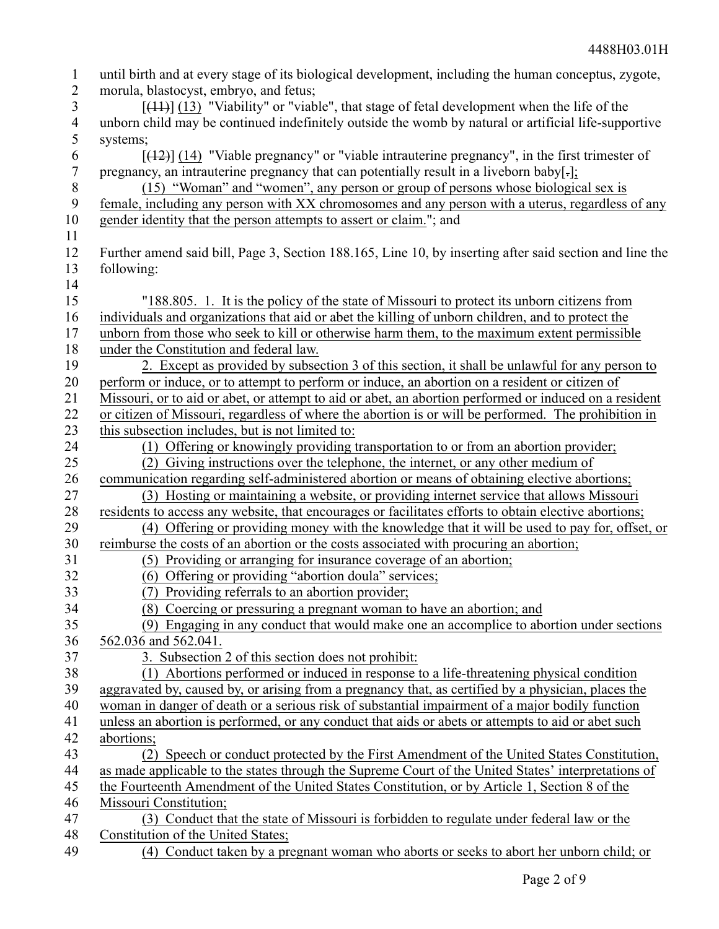| $\mathbf{1}$     | until birth and at every stage of its biological development, including the human conceptus, zygote,    |
|------------------|---------------------------------------------------------------------------------------------------------|
| $\overline{2}$   | morula, blastocyst, embryo, and fetus;                                                                  |
| 3                | $[$ (14+)] (13) "Viability" or "viable", that stage of fetal development when the life of the           |
| $\overline{4}$   | unborn child may be continued indefinitely outside the womb by natural or artificial life-supportive    |
| 5                | systems;                                                                                                |
| 6                | $[$ (42)] (14) "Viable pregnancy" or "viable intrauterine pregnancy", in the first trimester of         |
| $\boldsymbol{7}$ | pregnancy, an intrauterine pregnancy that can potentially result in a liveborn baby[-];                 |
| $8\,$            | (15) "Woman" and "women", any person or group of persons whose biological sex is                        |
| 9                | female, including any person with XX chromosomes and any person with a uterus, regardless of any        |
| 10               | gender identity that the person attempts to assert or claim."; and                                      |
| 11               |                                                                                                         |
| 12               | Further amend said bill, Page 3, Section 188.165, Line 10, by inserting after said section and line the |
| 13               | following:                                                                                              |
| 14               |                                                                                                         |
| 15               | "188.805. 1. It is the policy of the state of Missouri to protect its unborn citizens from              |
| 16               | individuals and organizations that aid or abet the killing of unborn children, and to protect the       |
| 17               | unborn from those who seek to kill or otherwise harm them, to the maximum extent permissible            |
| 18               | under the Constitution and federal law.                                                                 |
| 19               | 2. Except as provided by subsection 3 of this section, it shall be unlawful for any person to           |
| 20               | perform or induce, or to attempt to perform or induce, an abortion on a resident or citizen of          |
| 21               | Missouri, or to aid or abet, or attempt to aid or abet, an abortion performed or induced on a resident  |
| 22               | or citizen of Missouri, regardless of where the abortion is or will be performed. The prohibition in    |
| 23               | this subsection includes, but is not limited to:                                                        |
| 24               | (1) Offering or knowingly providing transportation to or from an abortion provider;                     |
| 25               | (2) Giving instructions over the telephone, the internet, or any other medium of                        |
| 26               | communication regarding self-administered abortion or means of obtaining elective abortions;            |
| 27               | (3) Hosting or maintaining a website, or providing internet service that allows Missouri                |
| 28               | residents to access any website, that encourages or facilitates efforts to obtain elective abortions;   |
| 29               | (4) Offering or providing money with the knowledge that it will be used to pay for, offset, or          |
| 30               | reimburse the costs of an abortion or the costs associated with procuring an abortion;                  |
| 31               | (5) Providing or arranging for insurance coverage of an abortion;                                       |
| 32               | (6) Offering or providing "abortion doula" services;                                                    |
| 33               | (7) Providing referrals to an abortion provider;                                                        |
| 34               | (8) Coercing or pressuring a pregnant woman to have an abortion; and                                    |
| 35               | (9) Engaging in any conduct that would make one an accomplice to abortion under sections                |
| 36               | 562.036 and 562.041.                                                                                    |
| 37               | 3. Subsection 2 of this section does not prohibit:                                                      |
| 38               | (1) Abortions performed or induced in response to a life-threatening physical condition                 |
| 39               | aggravated by, caused by, or arising from a pregnancy that, as certified by a physician, places the     |
| 40               | woman in danger of death or a serious risk of substantial impairment of a major bodily function         |
| 41               | unless an abortion is performed, or any conduct that aids or abets or attempts to aid or abet such      |
| 42               | abortions;                                                                                              |
| 43               | (2) Speech or conduct protected by the First Amendment of the United States Constitution,               |
| 44               | as made applicable to the states through the Supreme Court of the United States' interpretations of     |
| 45               | the Fourteenth Amendment of the United States Constitution, or by Article 1, Section 8 of the           |
| 46               | Missouri Constitution;                                                                                  |
| 47               | (3) Conduct that the state of Missouri is forbidden to regulate under federal law or the                |
| 48               | Constitution of the United States;                                                                      |
| 49               | (4) Conduct taken by a pregnant woman who aborts or seeks to abort her unborn child; or                 |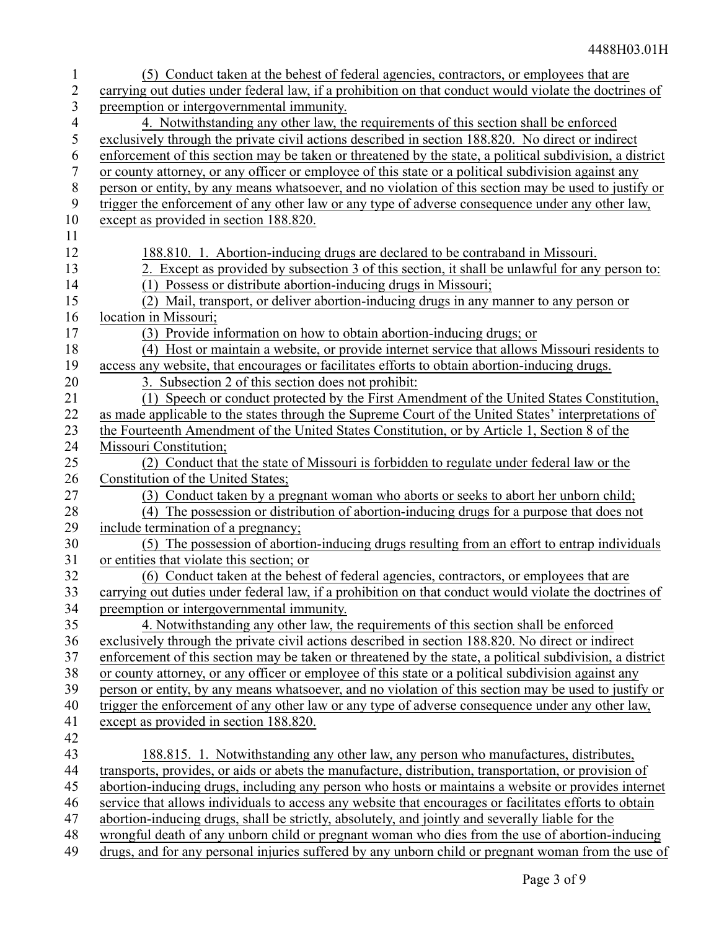|                | (5) Conduct taken at the behest of federal agencies, contractors, or employees that are                  |
|----------------|----------------------------------------------------------------------------------------------------------|
| 2              | carrying out duties under federal law, if a prohibition on that conduct would violate the doctrines of   |
| 3              | preemption or intergovernmental immunity.                                                                |
| $\overline{4}$ | 4. Notwithstanding any other law, the requirements of this section shall be enforced                     |
| 5              | exclusively through the private civil actions described in section 188.820. No direct or indirect        |
| 6              | enforcement of this section may be taken or threatened by the state, a political subdivision, a district |
| 7              | or county attorney, or any officer or employee of this state or a political subdivision against any      |
| $8\,$          | person or entity, by any means whatsoever, and no violation of this section may be used to justify or    |
| 9              | trigger the enforcement of any other law or any type of adverse consequence under any other law,         |
| 10             | except as provided in section 188.820.                                                                   |
|                |                                                                                                          |
| 11             |                                                                                                          |
| 12             | 188.810. 1. Abortion-inducing drugs are declared to be contraband in Missouri.                           |
| 13             | 2. Except as provided by subsection 3 of this section, it shall be unlawful for any person to:           |
| 14             | (1) Possess or distribute abortion-inducing drugs in Missouri;                                           |
| 15             | (2) Mail, transport, or deliver abortion-inducing drugs in any manner to any person or                   |
| 16             | location in Missouri;                                                                                    |
| 17             | (3) Provide information on how to obtain abortion-inducing drugs; or                                     |
| 18             | (4) Host or maintain a website, or provide internet service that allows Missouri residents to            |
| 19             | access any website, that encourages or facilitates efforts to obtain abortion-inducing drugs.            |
| 20             | 3. Subsection 2 of this section does not prohibit:                                                       |
| 21             | (1) Speech or conduct protected by the First Amendment of the United States Constitution,                |
| 22             | as made applicable to the states through the Supreme Court of the United States' interpretations of      |
| 23             | the Fourteenth Amendment of the United States Constitution, or by Article 1, Section 8 of the            |
| 24             | Missouri Constitution;                                                                                   |
| 25             | (2) Conduct that the state of Missouri is forbidden to regulate under federal law or the                 |
| 26             | Constitution of the United States;                                                                       |
| 27             | (3) Conduct taken by a pregnant woman who aborts or seeks to abort her unborn child;                     |
| 28             | (4) The possession or distribution of abortion-inducing drugs for a purpose that does not                |
| 29             | include termination of a pregnancy;                                                                      |
| 30             | (5) The possession of abortion-inducing drugs resulting from an effort to entrap individuals             |
| 31             | or entities that violate this section; or                                                                |
| 32             | (6) Conduct taken at the behest of federal agencies, contractors, or employees that are                  |
| 33             | carrying out duties under federal law, if a prohibition on that conduct would violate the doctrines of   |
| 34             | preemption or intergovernmental immunity.                                                                |
| 35             | 4. Notwithstanding any other law, the requirements of this section shall be enforced                     |
| 36             | exclusively through the private civil actions described in section 188.820. No direct or indirect        |
| 37             | enforcement of this section may be taken or threatened by the state, a political subdivision, a district |
| 38             | or county attorney, or any officer or employee of this state or a political subdivision against any      |
| 39             | person or entity, by any means whatsoever, and no violation of this section may be used to justify or    |
| 40             | trigger the enforcement of any other law or any type of adverse consequence under any other law,         |
| 41             | except as provided in section 188.820.                                                                   |
| 42             |                                                                                                          |
| 43             | 188.815. 1. Notwithstanding any other law, any person who manufactures, distributes,                     |
| 44             | transports, provides, or aids or abets the manufacture, distribution, transportation, or provision of    |
| 45             | abortion-inducing drugs, including any person who hosts or maintains a website or provides internet      |
| 46             | service that allows individuals to access any website that encourages or facilitates efforts to obtain   |
| 47             | abortion-inducing drugs, shall be strictly, absolutely, and jointly and severally liable for the         |
| 48             | wrongful death of any unborn child or pregnant woman who dies from the use of abortion-inducing          |
| 49             | drugs, and for any personal injuries suffered by any unborn child or pregnant woman from the use of      |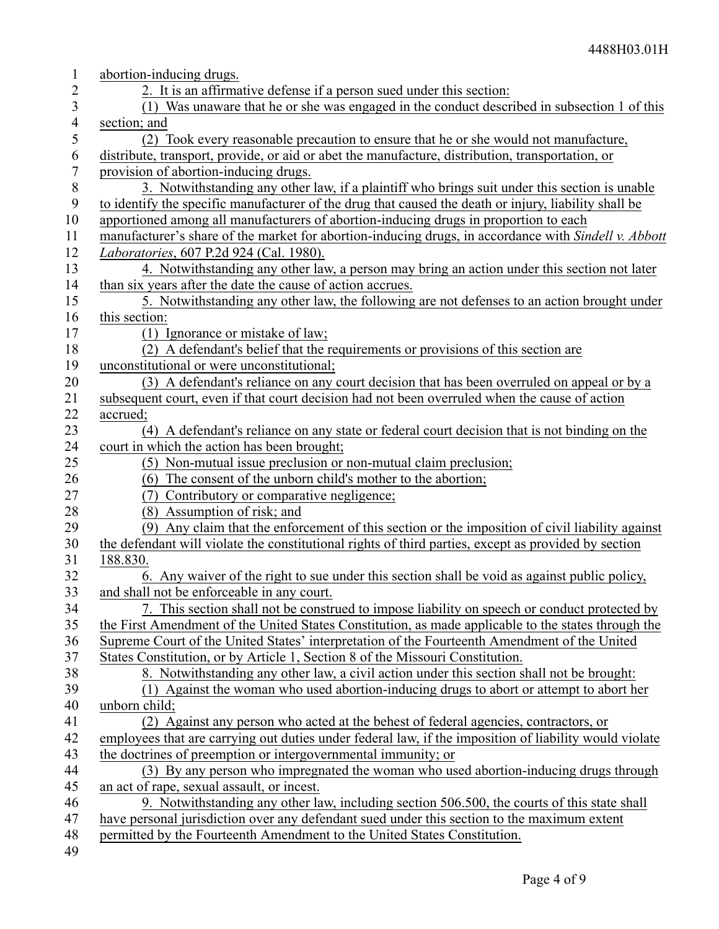| $\mathbf{1}$     | abortion-inducing drugs.                                                                               |
|------------------|--------------------------------------------------------------------------------------------------------|
| 2                | 2. It is an affirmative defense if a person sued under this section:                                   |
| 3                | (1) Was unaware that he or she was engaged in the conduct described in subsection 1 of this            |
| $\overline{4}$   | section; and                                                                                           |
| 5                | (2) Took every reasonable precaution to ensure that he or she would not manufacture,                   |
| 6                | distribute, transport, provide, or aid or abet the manufacture, distribution, transportation, or       |
| $\overline{7}$   | provision of abortion-inducing drugs.                                                                  |
| $8\,$            | 3. Notwithstanding any other law, if a plaintiff who brings suit under this section is unable          |
| $\boldsymbol{9}$ | to identify the specific manufacturer of the drug that caused the death or injury, liability shall be  |
| 10               | apportioned among all manufacturers of abortion-inducing drugs in proportion to each                   |
| 11               | manufacturer's share of the market for abortion-inducing drugs, in accordance with Sindell v. Abbott   |
| 12               | Laboratories, 607 P.2d 924 (Cal. 1980).                                                                |
| 13               | 4. Notwithstanding any other law, a person may bring an action under this section not later            |
| 14               | than six years after the date the cause of action accrues.                                             |
| 15               | 5. Notwithstanding any other law, the following are not defenses to an action brought under            |
| 16               | this section:                                                                                          |
| 17               | (1) Ignorance or mistake of law;                                                                       |
| 18               | (2) A defendant's belief that the requirements or provisions of this section are                       |
| 19               | unconstitutional or were unconstitutional;                                                             |
| 20               | (3) A defendant's reliance on any court decision that has been overruled on appeal or by a             |
| 21               | subsequent court, even if that court decision had not been overruled when the cause of action          |
| 22               | accrued;                                                                                               |
| 23               | (4) A defendant's reliance on any state or federal court decision that is not binding on the           |
| 24               | court in which the action has been brought;                                                            |
| 25               | (5) Non-mutual issue preclusion or non-mutual claim preclusion;                                        |
| 26               | (6) The consent of the unborn child's mother to the abortion;                                          |
| 27               | (7) Contributory or comparative negligence;                                                            |
| 28               | (8) Assumption of risk; and                                                                            |
| 29               | (9) Any claim that the enforcement of this section or the imposition of civil liability against        |
| 30               | the defendant will violate the constitutional rights of third parties, except as provided by section   |
| 31               | 188.830.                                                                                               |
| 32               | 6. Any waiver of the right to sue under this section shall be void as against public policy,           |
| 33               | and shall not be enforceable in any court.                                                             |
| 34               | 7. This section shall not be construed to impose liability on speech or conduct protected by           |
| 35               | the First Amendment of the United States Constitution, as made applicable to the states through the    |
| 36               | Supreme Court of the United States' interpretation of the Fourteenth Amendment of the United           |
| 37               | States Constitution, or by Article 1, Section 8 of the Missouri Constitution.                          |
| 38               | 8. Notwithstanding any other law, a civil action under this section shall not be brought:              |
| 39               | (1) Against the woman who used abortion-inducing drugs to abort or attempt to abort her                |
| 40               | unborn child;                                                                                          |
| 41               | (2) Against any person who acted at the behest of federal agencies, contractors, or                    |
| 42               | employees that are carrying out duties under federal law, if the imposition of liability would violate |
| 43               | the doctrines of preemption or intergovernmental immunity; or                                          |
| 44               | (3) By any person who impregnated the woman who used abortion-inducing drugs through                   |
| 45               | an act of rape, sexual assault, or incest.                                                             |
| 46               | 9. Notwithstanding any other law, including section 506.500, the courts of this state shall            |
| 47               | have personal jurisdiction over any defendant sued under this section to the maximum extent            |
| 48               | permitted by the Fourteenth Amendment to the United States Constitution.                               |
| 49               |                                                                                                        |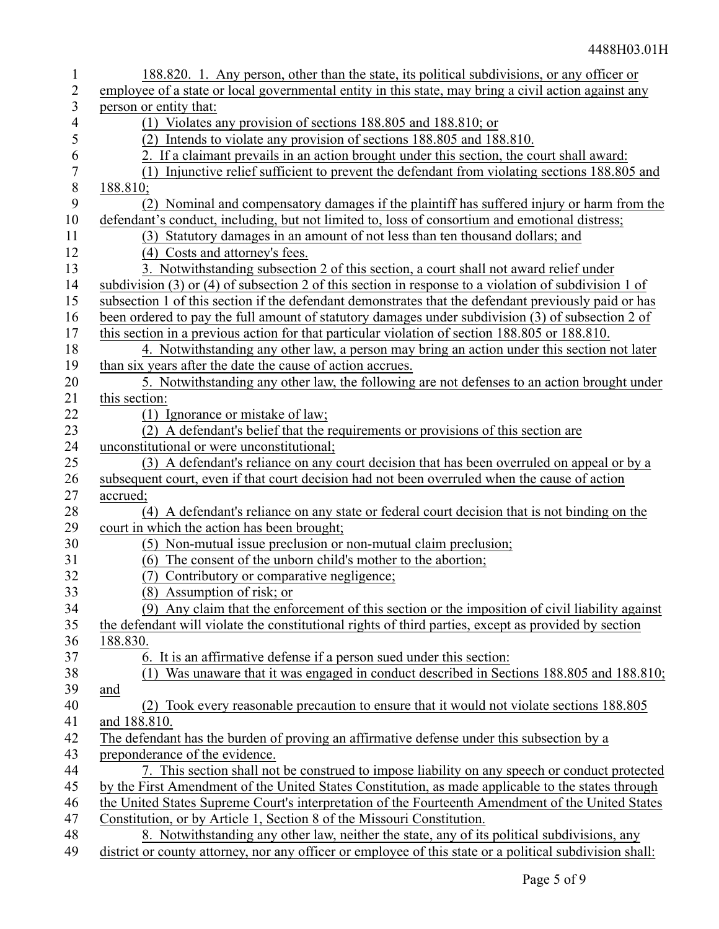| $\mathbf{1}$     | 188.820. 1. Any person, other than the state, its political subdivisions, or any officer or                          |
|------------------|----------------------------------------------------------------------------------------------------------------------|
| $\overline{2}$   | employee of a state or local governmental entity in this state, may bring a civil action against any                 |
| 3                | person or entity that:                                                                                               |
| 4                | (1) Violates any provision of sections 188.805 and 188.810; or                                                       |
| 5                | (2) Intends to violate any provision of sections 188.805 and 188.810.                                                |
| 6                | 2. If a claimant prevails in an action brought under this section, the court shall award:                            |
| $\boldsymbol{7}$ | Injunctive relief sufficient to prevent the defendant from violating sections 188.805 and<br>(1)                     |
| $8\,$            | 188.810;                                                                                                             |
| 9                | (2) Nominal and compensatory damages if the plaintiff has suffered injury or harm from the                           |
| 10               | defendant's conduct, including, but not limited to, loss of consortium and emotional distress;                       |
| 11               | (3) Statutory damages in an amount of not less than ten thousand dollars; and                                        |
| 12               | (4) Costs and attorney's fees.                                                                                       |
| 13               | 3. Notwithstanding subsection 2 of this section, a court shall not award relief under                                |
| 14               | subdivision $(3)$ or $(4)$ of subsection 2 of this section in response to a violation of subdivision 1 of            |
| 15               | subsection 1 of this section if the defendant demonstrates that the defendant previously paid or has                 |
| 16               | been ordered to pay the full amount of statutory damages under subdivision (3) of subsection 2 of                    |
| 17               | this section in a previous action for that particular violation of section 188.805 or 188.810.                       |
| 18               | 4. Notwithstanding any other law, a person may bring an action under this section not later                          |
| 19               | than six years after the date the cause of action accrues.                                                           |
| 20               | 5. Notwithstanding any other law, the following are not defenses to an action brought under                          |
| 21               | this section:                                                                                                        |
| 22<br>23         | (1) Ignorance or mistake of law;<br>(2) A defendant's belief that the requirements or provisions of this section are |
| 24               | unconstitutional or were unconstitutional;                                                                           |
| 25               | (3) A defendant's reliance on any court decision that has been overruled on appeal or by a                           |
| 26               | subsequent court, even if that court decision had not been overruled when the cause of action                        |
| 27               | accrued;                                                                                                             |
| $28\,$           | (4) A defendant's reliance on any state or federal court decision that is not binding on the                         |
| 29               | court in which the action has been brought;                                                                          |
| 30               | (5) Non-mutual issue preclusion or non-mutual claim preclusion;                                                      |
| 31               | (6) The consent of the unborn child's mother to the abortion;                                                        |
| 32               | (7) Contributory or comparative negligence;                                                                          |
| 33               | (8) Assumption of risk; or                                                                                           |
| 34               | (9) Any claim that the enforcement of this section or the imposition of civil liability against                      |
| 35               | the defendant will violate the constitutional rights of third parties, except as provided by section                 |
| 36               | 188.830.                                                                                                             |
| 37               | 6. It is an affirmative defense if a person sued under this section:                                                 |
| 38               | Was unaware that it was engaged in conduct described in Sections 188.805 and 188.810;<br>(1)                         |
| 39               | and                                                                                                                  |
| 40               | (2) Took every reasonable precaution to ensure that it would not violate sections 188.805                            |
| 41               | and 188.810.                                                                                                         |
| 42               | The defendant has the burden of proving an affirmative defense under this subsection by a                            |
| 43               | preponderance of the evidence.                                                                                       |
| 44               | 7. This section shall not be construed to impose liability on any speech or conduct protected                        |
| 45               | by the First Amendment of the United States Constitution, as made applicable to the states through                   |
| 46               | the United States Supreme Court's interpretation of the Fourteenth Amendment of the United States                    |
| 47               | Constitution, or by Article 1, Section 8 of the Missouri Constitution.                                               |
| 48               | 8. Notwithstanding any other law, neither the state, any of its political subdivisions, any                          |
| 49               | district or county attorney, nor any officer or employee of this state or a political subdivision shall:             |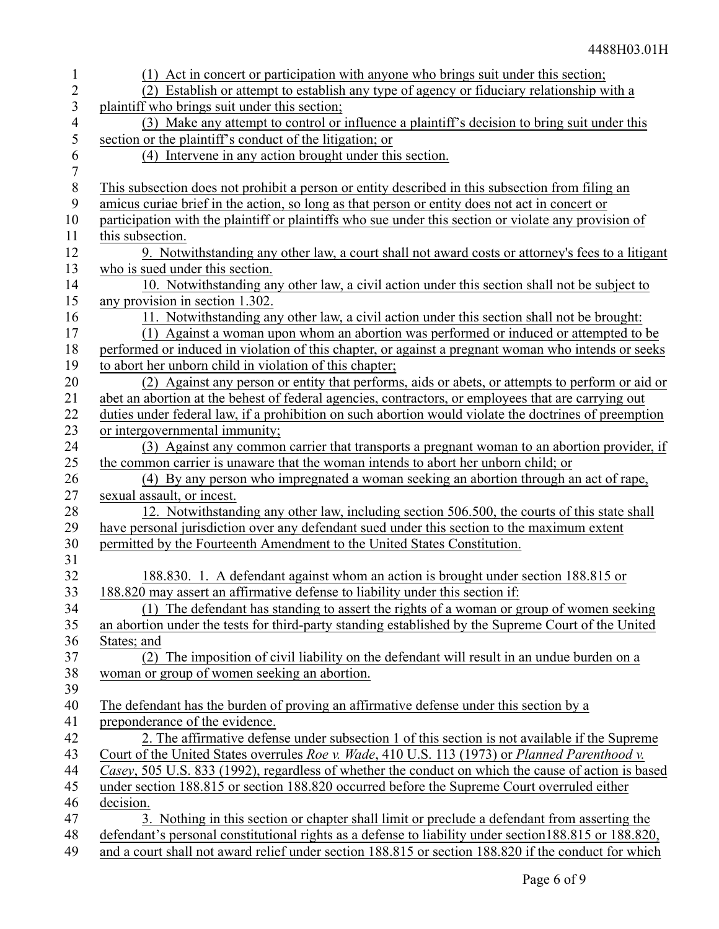| 1                        | (1) Act in concert or participation with anyone who brings suit under this section;                                                                                                             |
|--------------------------|-------------------------------------------------------------------------------------------------------------------------------------------------------------------------------------------------|
| $\overline{2}$           | (2) Establish or attempt to establish any type of agency or fiduciary relationship with a                                                                                                       |
| 3                        | plaintiff who brings suit under this section;                                                                                                                                                   |
| $\overline{\mathcal{A}}$ | (3) Make any attempt to control or influence a plaintiff's decision to bring suit under this                                                                                                    |
| 5                        | section or the plaintiff's conduct of the litigation; or                                                                                                                                        |
| 6                        | (4) Intervene in any action brought under this section.                                                                                                                                         |
| $\boldsymbol{7}$         |                                                                                                                                                                                                 |
| $\,8\,$                  | This subsection does not prohibit a person or entity described in this subsection from filing an                                                                                                |
| 9                        | amicus curiae brief in the action, so long as that person or entity does not act in concert or                                                                                                  |
| 10                       | participation with the plaintiff or plaintiffs who sue under this section or violate any provision of                                                                                           |
| 11                       | this subsection.                                                                                                                                                                                |
| 12                       | 9. Notwithstanding any other law, a court shall not award costs or attorney's fees to a litigant                                                                                                |
| 13                       | who is sued under this section.                                                                                                                                                                 |
| 14                       | 10. Notwithstanding any other law, a civil action under this section shall not be subject to                                                                                                    |
| 15                       | any provision in section 1.302.                                                                                                                                                                 |
| 16                       | 11. Notwithstanding any other law, a civil action under this section shall not be brought:                                                                                                      |
| 17                       | (1) Against a woman upon whom an abortion was performed or induced or attempted to be                                                                                                           |
| 18                       | performed or induced in violation of this chapter, or against a pregnant woman who intends or seeks                                                                                             |
| 19                       | to abort her unborn child in violation of this chapter;                                                                                                                                         |
| 20                       | (2) Against any person or entity that performs, aids or abets, or attempts to perform or aid or                                                                                                 |
| 21                       | abet an abortion at the behest of federal agencies, contractors, or employees that are carrying out                                                                                             |
| 22                       | duties under federal law, if a prohibition on such abortion would violate the doctrines of preemption                                                                                           |
| 23                       | or intergovernmental immunity;                                                                                                                                                                  |
| 24                       | (3) Against any common carrier that transports a pregnant woman to an abortion provider, if                                                                                                     |
| 25                       | the common carrier is unaware that the woman intends to abort her unborn child; or                                                                                                              |
| 26                       | (4) By any person who impregnated a woman seeking an abortion through an act of rape,                                                                                                           |
| 27                       | sexual assault, or incest.                                                                                                                                                                      |
| 28                       | 12. Notwithstanding any other law, including section 506.500, the courts of this state shall                                                                                                    |
| 29                       | have personal jurisdiction over any defendant sued under this section to the maximum extent                                                                                                     |
| 30                       | permitted by the Fourteenth Amendment to the United States Constitution.                                                                                                                        |
| 31<br>32                 |                                                                                                                                                                                                 |
|                          | 188.830. 1. A defendant against whom an action is brought under section 188.815 or<br>188.820 may assert an affirmative defense to liability under this section if:                             |
| 33                       |                                                                                                                                                                                                 |
| 34<br>35                 | (1) The defendant has standing to assert the rights of a woman or group of women seeking<br>an abortion under the tests for third-party standing established by the Supreme Court of the United |
|                          | States; and                                                                                                                                                                                     |
| 36<br>37                 | (2) The imposition of civil liability on the defendant will result in an undue burden on a                                                                                                      |
| 38                       | woman or group of women seeking an abortion.                                                                                                                                                    |
| 39                       |                                                                                                                                                                                                 |
| 40                       | The defendant has the burden of proving an affirmative defense under this section by a                                                                                                          |
| 41                       | preponderance of the evidence.                                                                                                                                                                  |
| 42                       | 2. The affirmative defense under subsection 1 of this section is not available if the Supreme                                                                                                   |
| 43                       | Court of the United States overrules Roe v. Wade, 410 U.S. 113 (1973) or Planned Parenthood v.                                                                                                  |
| 44                       | Casey, 505 U.S. 833 (1992), regardless of whether the conduct on which the cause of action is based                                                                                             |
| 45                       | under section 188.815 or section 188.820 occurred before the Supreme Court overruled either                                                                                                     |
| 46                       | decision.                                                                                                                                                                                       |
| 47                       | 3. Nothing in this section or chapter shall limit or preclude a defendant from asserting the                                                                                                    |
| 48                       | defendant's personal constitutional rights as a defense to liability under section 188.815 or 188.820,                                                                                          |
| 49                       | and a court shall not award relief under section 188.815 or section 188.820 if the conduct for which                                                                                            |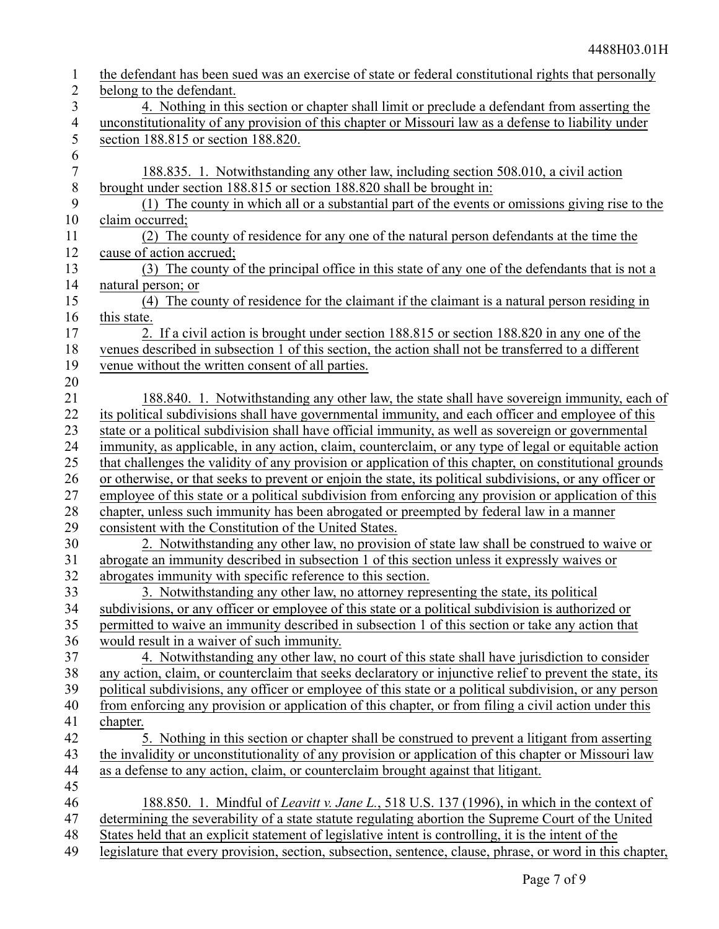| $\mathbf{1}$     | the defendant has been sued was an exercise of state or federal constitutional rights that personally     |
|------------------|-----------------------------------------------------------------------------------------------------------|
| $\overline{2}$   | belong to the defendant.                                                                                  |
| 3                | 4. Nothing in this section or chapter shall limit or preclude a defendant from asserting the              |
| $\overline{4}$   | unconstitutionality of any provision of this chapter or Missouri law as a defense to liability under      |
| 5                | section 188.815 or section 188.820.                                                                       |
| 6                |                                                                                                           |
| $\boldsymbol{7}$ | 188.835. 1. Notwithstanding any other law, including section 508.010, a civil action                      |
| $\, 8$           | brought under section 188.815 or section 188.820 shall be brought in:                                     |
| 9                | (1) The county in which all or a substantial part of the events or omissions giving rise to the           |
| 10               | claim occurred;                                                                                           |
| 11               | (2) The county of residence for any one of the natural person defendants at the time the                  |
| 12               | cause of action accrued;                                                                                  |
| 13               | (3) The county of the principal office in this state of any one of the defendants that is not a           |
| 14               | natural person; or                                                                                        |
| 15               | (4) The county of residence for the claimant if the claimant is a natural person residing in              |
| 16               | this state.                                                                                               |
| 17               | 2. If a civil action is brought under section 188.815 or section 188.820 in any one of the                |
| 18               | venues described in subsection 1 of this section, the action shall not be transferred to a different      |
| 19               | venue without the written consent of all parties.                                                         |
| 20               |                                                                                                           |
| 21               | 188.840. 1. Notwithstanding any other law, the state shall have sovereign immunity, each of               |
| 22               | its political subdivisions shall have governmental immunity, and each officer and employee of this        |
| 23               | state or a political subdivision shall have official immunity, as well as sovereign or governmental       |
| 24               | immunity, as applicable, in any action, claim, counterclaim, or any type of legal or equitable action     |
| 25               | that challenges the validity of any provision or application of this chapter, on constitutional grounds   |
| 26               | or otherwise, or that seeks to prevent or enjoin the state, its political subdivisions, or any officer or |
| 27               | employee of this state or a political subdivision from enforcing any provision or application of this     |
| 28               | chapter, unless such immunity has been abrogated or preempted by federal law in a manner                  |
| 29               | consistent with the Constitution of the United States.                                                    |
| 30               | 2. Notwithstanding any other law, no provision of state law shall be construed to waive or                |
| 31               | abrogate an immunity described in subsection 1 of this section unless it expressly waives or              |
| 32               | abrogates immunity with specific reference to this section.                                               |
| 33               | 3. Notwithstanding any other law, no attorney representing the state, its political                       |
| 34               | subdivisions, or any officer or employee of this state or a political subdivision is authorized or        |
| 35               | permitted to waive an immunity described in subsection 1 of this section or take any action that          |
| 36               | would result in a waiver of such immunity.                                                                |
| 37               | 4. Notwithstanding any other law, no court of this state shall have jurisdiction to consider              |
| 38               | any action, claim, or counterclaim that seeks declaratory or injunctive relief to prevent the state, its  |
| 39               | political subdivisions, any officer or employee of this state or a political subdivision, or any person   |
| 40               | from enforcing any provision or application of this chapter, or from filing a civil action under this     |
| 41               | chapter.                                                                                                  |
| 42               | 5. Nothing in this section or chapter shall be construed to prevent a litigant from asserting             |
| 43               | the invalidity or unconstitutionality of any provision or application of this chapter or Missouri law     |
| 44               | as a defense to any action, claim, or counterclaim brought against that litigant.                         |
| 45               |                                                                                                           |
| 46               | 188.850. 1. Mindful of <i>Leavitt v. Jane L.</i> , 518 U.S. 137 (1996), in which in the context of        |
| 47               | determining the severability of a state statute regulating abortion the Supreme Court of the United       |
| 48               | States held that an explicit statement of legislative intent is controlling, it is the intent of the      |
| 49               | legislature that every provision, section, subsection, sentence, clause, phrase, or word in this chapter, |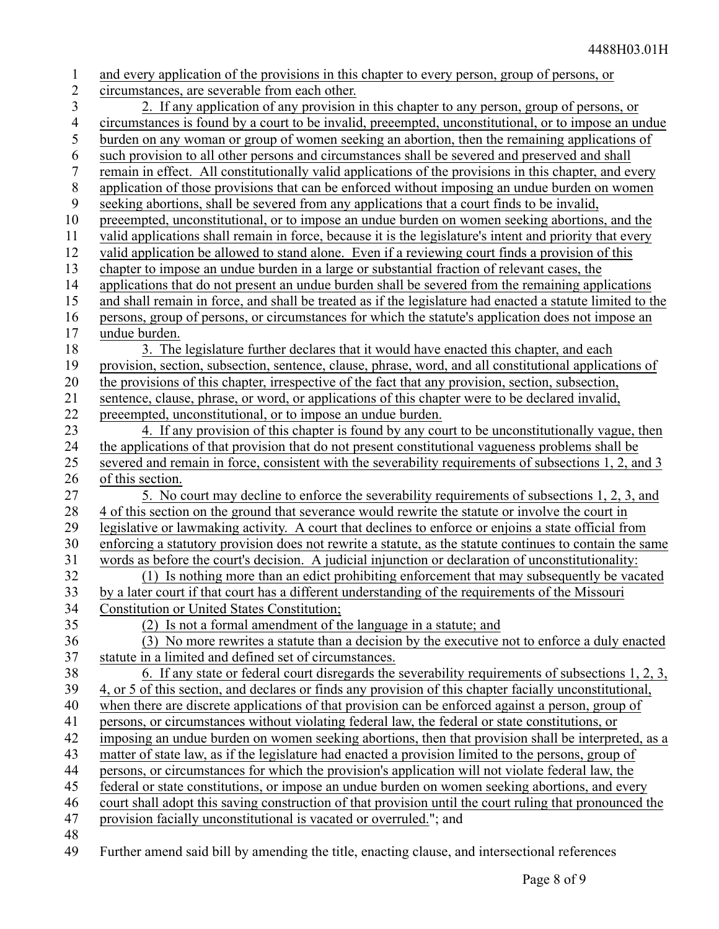| $\mathbf{1}$   | and every application of the provisions in this chapter to every person, group of persons, or                                                                                                                   |
|----------------|-----------------------------------------------------------------------------------------------------------------------------------------------------------------------------------------------------------------|
| $\overline{2}$ | circumstances, are severable from each other.                                                                                                                                                                   |
| 3              | 2. If any application of any provision in this chapter to any person, group of persons, or                                                                                                                      |
| $\overline{4}$ | circumstances is found by a court to be invalid, preeempted, unconstitutional, or to impose an undue                                                                                                            |
| 5              | burden on any woman or group of women seeking an abortion, then the remaining applications of                                                                                                                   |
| 6              | such provision to all other persons and circumstances shall be severed and preserved and shall                                                                                                                  |
| 7              | remain in effect. All constitutionally valid applications of the provisions in this chapter, and every                                                                                                          |
| $\, 8$         | application of those provisions that can be enforced without imposing an undue burden on women                                                                                                                  |
| 9              | seeking abortions, shall be severed from any applications that a court finds to be invalid,                                                                                                                     |
| 10             | preeempted, unconstitutional, or to impose an undue burden on women seeking abortions, and the                                                                                                                  |
| 11             | valid applications shall remain in force, because it is the legislature's intent and priority that every                                                                                                        |
| 12             | valid application be allowed to stand alone. Even if a reviewing court finds a provision of this                                                                                                                |
| 13             | chapter to impose an undue burden in a large or substantial fraction of relevant cases, the                                                                                                                     |
| 14             | applications that do not present an undue burden shall be severed from the remaining applications                                                                                                               |
| 15             | and shall remain in force, and shall be treated as if the legislature had enacted a statute limited to the                                                                                                      |
| 16             | persons, group of persons, or circumstances for which the statute's application does not impose an                                                                                                              |
| 17             | undue burden.                                                                                                                                                                                                   |
| 18             | 3. The legislature further declares that it would have enacted this chapter, and each                                                                                                                           |
| 19             | provision, section, subsection, sentence, clause, phrase, word, and all constitutional applications of                                                                                                          |
| 20             | the provisions of this chapter, irrespective of the fact that any provision, section, subsection,                                                                                                               |
| 21             | sentence, clause, phrase, or word, or applications of this chapter were to be declared invalid,                                                                                                                 |
| 22             | preeempted, unconstitutional, or to impose an undue burden.                                                                                                                                                     |
| 23             | 4. If any provision of this chapter is found by any court to be unconstitutionally vague, then                                                                                                                  |
| 24             | the applications of that provision that do not present constitutional vagueness problems shall be                                                                                                               |
| 25             | severed and remain in force, consistent with the severability requirements of subsections 1, 2, and 3                                                                                                           |
| 26             | of this section.                                                                                                                                                                                                |
| 27             | 5. No court may decline to enforce the severability requirements of subsections 1, 2, 3, and                                                                                                                    |
| 28             | 4 of this section on the ground that severance would rewrite the statute or involve the court in                                                                                                                |
| 29             | legislative or lawmaking activity. A court that declines to enforce or enjoins a state official from                                                                                                            |
| 30             | enforcing a statutory provision does not rewrite a statute, as the statute continues to contain the same                                                                                                        |
| 31             | words as before the court's decision. A judicial injunction or declaration of unconstitutionality:                                                                                                              |
| 32             | (1) Is nothing more than an edict prohibiting enforcement that may subsequently be vacated                                                                                                                      |
| 33             | by a later court if that court has a different understanding of the requirements of the Missouri                                                                                                                |
| 34             | <b>Constitution or United States Constitution;</b>                                                                                                                                                              |
| 35             | (2) Is not a formal amendment of the language in a statute; and                                                                                                                                                 |
| 36<br>37       | (3) No more rewrites a statute than a decision by the executive not to enforce a duly enacted                                                                                                                   |
|                | statute in a limited and defined set of circumstances.                                                                                                                                                          |
| 38<br>39       | 6. If any state or federal court disregards the severability requirements of subsections $1, 2, 3$ ,<br>4, or 5 of this section, and declares or finds any provision of this chapter facially unconstitutional, |
| 40             | when there are discrete applications of that provision can be enforced against a person, group of                                                                                                               |
| 41             | persons, or circumstances without violating federal law, the federal or state constitutions, or                                                                                                                 |
| 42             | imposing an undue burden on women seeking abortions, then that provision shall be interpreted, as a                                                                                                             |
| 43             | matter of state law, as if the legislature had enacted a provision limited to the persons, group of                                                                                                             |
| 44             | persons, or circumstances for which the provision's application will not violate federal law, the                                                                                                               |
| 45             | federal or state constitutions, or impose an undue burden on women seeking abortions, and every                                                                                                                 |
| 46             | court shall adopt this saving construction of that provision until the court ruling that pronounced the                                                                                                         |
| 47             | provision facially unconstitutional is vacated or overruled."; and                                                                                                                                              |
| 48             |                                                                                                                                                                                                                 |
|                |                                                                                                                                                                                                                 |

Further amend said bill by amending the title, enacting clause, and intersectional references 49